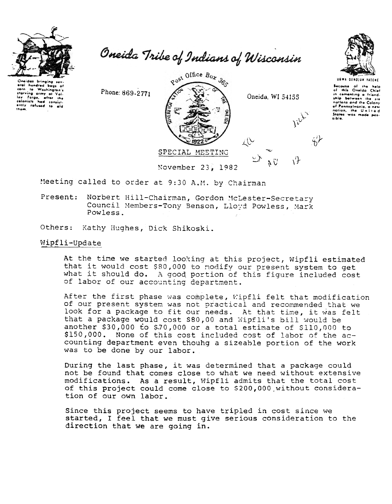

Oneidas bringing eral hundred bags of Electrical methods of the state of the colonists had consistently refused to ald the.

Oneida Tribe of Indians of Wisconsin





**UGWA DENOLUN TATENE** Because of the help<br>of this Oneida Chief in cementing a friend.<br>ship between the six in commenting a friend-<br>ship between the six-<br>nations and the Colony<br>of Pennsylvania, a new<br>nation, the United-<br>States was made passible.

Meeting called to order at 9:30 A.M. by Chairman

Norbert Hill-Chairman, Gordon McLester-Secretary Present: Council Members-Tony Benson, Lloyd Powless, Mark Powless.

Others: Kathy Hughes, Dick Shikoski.

## Wipfli-Update

At the time we started looking at this project, Wipfli estimated that it would cost \$80,000 to nodify our present system to get what it should do. A good portion of this figure included cost of labor of our accounting department.

After the first phase was complete, Wipfli felt that modification of our present system was not practical and recommended that we look for a package to fit our needs. At that time, it was felt<br>that a package would cost \$80,00 and Wipfli's bill would be another \$30,000 to \$70,000 or a total estimate of \$110,000 to \$150,000. None of this cost included cost of labor of the accounting department even thouhg a sizeable portion of the work was to be done by our labor.

During the last phase, it was determined that a package could not be found that comes close to what we need without extensive modifications. As a result, Wipfli admits that the total cost of this project could come close to \$200,000 without consideration of our own labor.

Since this project seems to have tripled in cost since we started, I feel that we must give serious consideration to the direction that we are going in.